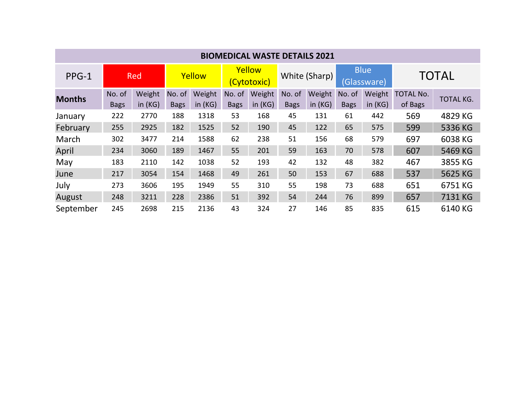| <b>BIOMEDICAL WASTE DETAILS 2021</b> |                       |                     |                       |                     |                       |                     |                       |                     |                            |                     |                             |                  |
|--------------------------------------|-----------------------|---------------------|-----------------------|---------------------|-----------------------|---------------------|-----------------------|---------------------|----------------------------|---------------------|-----------------------------|------------------|
| PPG-1                                | Red                   |                     | Yellow                |                     | Yellow<br>(Cytotoxic) |                     | White (Sharp)         |                     | <b>Blue</b><br>(Glassware) |                     | <b>TOTAL</b>                |                  |
| <b>Months</b>                        | No. of<br><b>Bags</b> | Weight<br>in $(KG)$ | No. of<br><b>Bags</b> | Weight<br>in $(KG)$ | No. of<br><b>Bags</b> | Weight<br>in $(KG)$ | No. of<br><b>Bags</b> | Weight<br>in $(KG)$ | No. of<br><b>Bags</b>      | Weight<br>in $(KG)$ | <b>TOTAL No.</b><br>of Bags | <b>TOTAL KG.</b> |
| January                              | 222                   | 2770                | 188                   | 1318                | 53                    | 168                 | 45                    | 131                 | 61                         | 442                 | 569                         | 4829 KG          |
| February                             | 255                   | 2925                | 182                   | 1525                | 52                    | 190                 | 45                    | 122                 | 65                         | 575                 | 599                         | 5336 KG          |
| March                                | 302                   | 3477                | 214                   | 1588                | 62                    | 238                 | 51                    | 156                 | 68                         | 579                 | 697                         | 6038 KG          |
| April                                | 234                   | 3060                | 189                   | 1467                | 55                    | 201                 | 59                    | 163                 | 70                         | 578                 | 607                         | 5469 KG          |
| May                                  | 183                   | 2110                | 142                   | 1038                | 52                    | 193                 | 42                    | 132                 | 48                         | 382                 | 467                         | 3855 KG          |
| June                                 | 217                   | 3054                | 154                   | 1468                | 49                    | 261                 | 50                    | 153                 | 67                         | 688                 | 537                         | 5625 KG          |
| July                                 | 273                   | 3606                | 195                   | 1949                | 55                    | 310                 | 55                    | 198                 | 73                         | 688                 | 651                         | 6751 KG          |
| August                               | 248                   | 3211                | 228                   | 2386                | 51                    | 392                 | 54                    | 244                 | 76                         | 899                 | 657                         | 7131 KG          |
| September                            | 245                   | 2698                | 215                   | 2136                | 43                    | 324                 | 27                    | 146                 | 85                         | 835                 | 615                         | 6140 KG          |